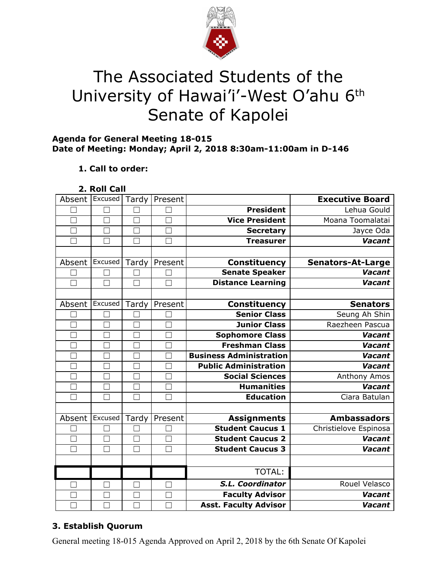

# The Associated Students of the University of Hawai'i'-West O'ahu 6<sup>th</sup> Senate of Kapolei

#### **Agenda for General Meeting 18-015 Date of Meeting: Monday; April 2, 2018 8:30am-11:00am in D-146**

## **1. Call to order:**

| Absent            | Excused       | Tardy        | Present |                                | <b>Executive Board</b>   |
|-------------------|---------------|--------------|---------|--------------------------------|--------------------------|
|                   |               |              |         | <b>President</b>               | Lehua Gould              |
|                   |               |              |         | <b>Vice President</b>          | Moana Toomalatai         |
|                   |               | $\Box$       |         | <b>Secretary</b>               | Jayce Oda                |
|                   | п             | □            |         | <b>Treasurer</b>               | <b>Vacant</b>            |
|                   |               |              |         |                                |                          |
| Absent            | Excused       | Tardy        | Present | Constituency                   | <b>Senators-At-Large</b> |
|                   | ┑             |              |         | <b>Senate Speaker</b>          | <b>Vacant</b>            |
| $\vert \ \ \vert$ | $\mathcal{L}$ | $\mathbf{I}$ |         | <b>Distance Learning</b>       | <b>Vacant</b>            |
|                   |               |              |         |                                |                          |
| Absent            | Excused       | Tardy        | Present | <b>Constituency</b>            | <b>Senators</b>          |
|                   |               |              |         | <b>Senior Class</b>            | Seung Ah Shin            |
|                   | ٠             | ٦            |         | <b>Junior Class</b>            | Raezheen Pascua          |
|                   |               |              |         | <b>Sophomore Class</b>         | Vacant                   |
|                   |               |              |         | <b>Freshman Class</b>          | <b>Vacant</b>            |
|                   |               | Ξ            |         | <b>Business Administration</b> | <b>Vacant</b>            |
|                   |               | $\Box$       |         | <b>Public Administration</b>   | <b>Vacant</b>            |
|                   |               |              |         | <b>Social Sciences</b>         | Anthony Amos             |
| $\Box$            | $\Box$        | $\Box$       |         | <b>Humanities</b>              | <b>Vacant</b>            |
| $\mathbf{I}$      |               | ×.           |         | <b>Education</b>               | Ciara Batulan            |
|                   |               |              |         |                                |                          |
| Absent            | Excused       | Tardy        | Present | <b>Assignments</b>             | <b>Ambassadors</b>       |
|                   |               |              |         | <b>Student Caucus 1</b>        | Christielove Espinosa    |
|                   | ٦             |              |         | <b>Student Caucus 2</b>        | <b>Vacant</b>            |
|                   |               |              |         | <b>Student Caucus 3</b>        | <b>Vacant</b>            |
|                   |               |              |         |                                |                          |
|                   |               |              |         | TOTAL:                         |                          |
|                   |               |              |         | S.L. Coordinator               | Rouel Velasco            |
|                   |               |              |         | <b>Faculty Advisor</b>         | <b>Vacant</b>            |
|                   |               |              |         | <b>Asst. Faculty Advisor</b>   | Vacant                   |

## **3. Establish Quorum**

General meeting 18-015 Agenda Approved on April 2, 2018 by the 6th Senate Of Kapolei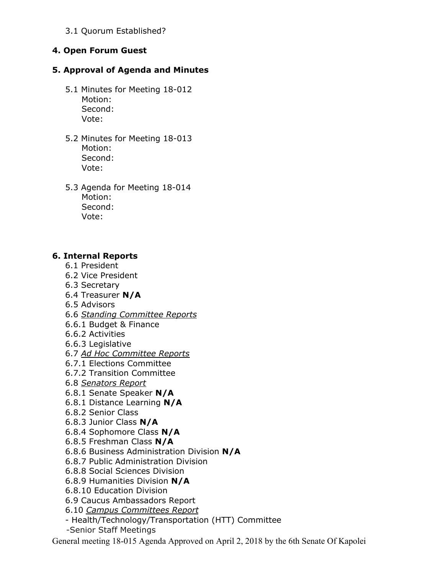3.1 Quorum Established?

### **4. Open Forum Guest**

#### **5. Approval of Agenda and Minutes**

- 5.1 Minutes for Meeting 18-012 Motion: Second: Vote:
- 5.2 Minutes for Meeting 18-013 Motion: Second: Vote:
- 5.3 Agenda for Meeting 18-014 Motion: Second: Vote:

#### **6. Internal Reports**

- 6.1 President
- 6.2 Vice President
- 6.3 Secretary
- 6.4 Treasurer **N/A**
- 6.5 Advisors
- 6.6 *Standing Committee Reports*
- 6.6.1 Budget & Finance
- 6.6.2 Activities
- 6.6.3 Legislative
- 6.7 *Ad Hoc Committee Reports*
- 6.7.1 Elections Committee
- 6.7.2 Transition Committee
- 6.8 *Senators Report*
- 6.8.1 Senate Speaker **N/A**
- 6.8.1 Distance Learning **N/A**
- 6.8.2 Senior Class
- 6.8.3 Junior Class **N/A**
- 6.8.4 Sophomore Class **N/A**
- 6.8.5 Freshman Class **N/A**
- 6.8.6 Business Administration Division **N/A**
- 6.8.7 Public Administration Division
- 6.8.8 Social Sciences Division
- 6.8.9 Humanities Division **N/A**
- 6.8.10 Education Division
- 6.9 Caucus Ambassadors Report
- 6.10 *Campus Committees Report*
- Health/Technology/Transportation (HTT) Committee
- -Senior Staff Meetings

General meeting 18-015 Agenda Approved on April 2, 2018 by the 6th Senate Of Kapolei